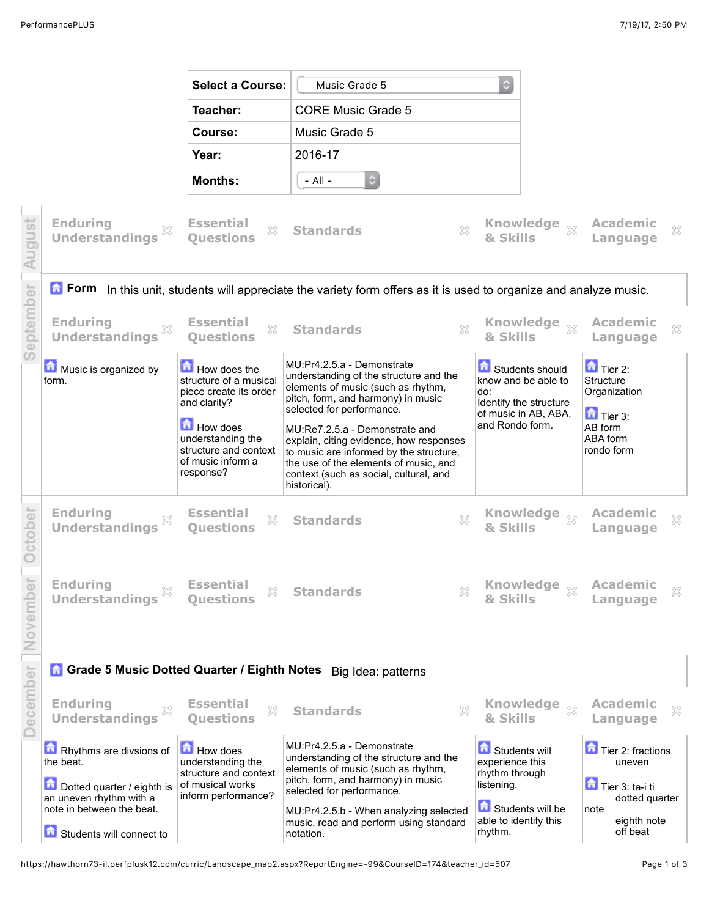|           |                                                                                                                           | <b>Select a Course:</b>                                                                                  | Music Grade 5                                                                                                                                                                                                           | $\mathbb{C}$                     |                                                                                          |                                                               |   |  |  |  |
|-----------|---------------------------------------------------------------------------------------------------------------------------|----------------------------------------------------------------------------------------------------------|-------------------------------------------------------------------------------------------------------------------------------------------------------------------------------------------------------------------------|----------------------------------|------------------------------------------------------------------------------------------|---------------------------------------------------------------|---|--|--|--|
|           |                                                                                                                           | Teacher:                                                                                                 | <b>CORE Music Grade 5</b>                                                                                                                                                                                               |                                  |                                                                                          |                                                               |   |  |  |  |
|           |                                                                                                                           | Course:                                                                                                  | Music Grade 5                                                                                                                                                                                                           |                                  |                                                                                          |                                                               |   |  |  |  |
|           |                                                                                                                           | Year:                                                                                                    | 2016-17                                                                                                                                                                                                                 |                                  |                                                                                          |                                                               |   |  |  |  |
|           |                                                                                                                           | <b>Months:</b>                                                                                           | $\ddot{\circ}$<br>- All -                                                                                                                                                                                               |                                  |                                                                                          |                                                               |   |  |  |  |
| August    | <b>Enduring</b><br><b>Understandings</b>                                                                                  | <b>Essential</b><br>X<br><b>Ouestions</b>                                                                | X<br><b>Standards</b>                                                                                                                                                                                                   | & Skills                         | <b>Knowledge</b><br>$\S $                                                                | Academic<br>Language                                          | X |  |  |  |
|           | <b>T</b> Form In this unit, students will appreciate the variety form offers as it is used to organize and analyze music. |                                                                                                          |                                                                                                                                                                                                                         |                                  |                                                                                          |                                                               |   |  |  |  |
| September | <b>Enduring</b><br>X<br><b>Understandings</b>                                                                             | <b>Essential</b><br>X<br><b>Ouestions</b>                                                                | $\chi$<br><b>Standards</b>                                                                                                                                                                                              | & Skills                         | <b>Knowledge</b><br>$\chi$                                                               | <b>Academic</b><br>Language                                   | × |  |  |  |
|           | Music is organized by<br>form.                                                                                            | How does the<br>structure of a musical<br>piece create its order<br>and clarity?                         | MU:Pr4.2.5.a - Demonstrate<br>understanding of the structure and the<br>elements of music (such as rhythm,<br>pitch, form, and harmony) in music<br>selected for performance.                                           | do:                              | Students should<br>know and be able to<br>Identify the structure<br>of music in AB, ABA, | $\Box$ Tier 2:<br>Structure<br>Organization<br>$\Box$ Tier 3: |   |  |  |  |
|           |                                                                                                                           | <b>How does</b><br>understanding the<br>structure and context<br>of music inform a<br>response?          | MU:Re7.2.5.a - Demonstrate and<br>explain, citing evidence, how responses<br>to music are informed by the structure,<br>the use of the elements of music, and<br>context (such as social, cultural, and<br>historical). | and Rondo form.                  |                                                                                          | AB form<br>ABA form<br>rondo form                             |   |  |  |  |
| October   | <b>Enduring</b><br><b>Understandings</b>                                                                                  | <b>Essential</b><br>×<br><b>Ouestions</b>                                                                | ×<br><b>Standards</b>                                                                                                                                                                                                   | & Skills                         | <b>Knowledge</b><br>$\mathbb{X}$                                                         | Academic<br>Language                                          | X |  |  |  |
| November  | <b>Enduring</b><br><b>Understandings</b>                                                                                  | <b>Essential</b><br>×<br><b>Ouestions</b>                                                                | ×<br><b>Standards</b>                                                                                                                                                                                                   | & Skills                         | <b>Knowledge</b><br>$\mathbb{X}$                                                         | <b>Academic</b><br>Language                                   | × |  |  |  |
|           | Grade 5 Music Dotted Quarter / Eighth Notes Big Idea: patterns                                                            |                                                                                                          |                                                                                                                                                                                                                         |                                  |                                                                                          |                                                               |   |  |  |  |
| December  | <b>Enduring</b><br>X<br><b>Understandings</b>                                                                             | <b>Essential</b><br>X<br><b>Ouestions</b>                                                                | X<br><b>Standards</b>                                                                                                                                                                                                   | & Skills                         | <b>Knowledge</b><br>$\chi$                                                               | <b>Academic</b><br>Language                                   | × |  |  |  |
|           | Rhythms are divsions of<br>the beat.<br>Dotted quarter / eighth is                                                        | <b>How does</b><br>understanding the<br>structure and context<br>of musical works<br>inform performance? | MU:Pr4.2.5.a - Demonstrate<br>understanding of the structure and the<br>elements of music (such as rhythm,<br>pitch, form, and harmony) in music<br>listening.<br>selected for performance.                             |                                  | Students will<br>experience this<br>rhythm through                                       | Tier 2: fractions<br>uneven<br>Tier 3: ta-i ti                |   |  |  |  |
|           | an uneven rhythm with a<br>note in between the beat.<br>Students will connect to                                          |                                                                                                          | MU:Pr4.2.5.b - When analyzing selected<br>music, read and perform using standard<br>notation.                                                                                                                           | able to identify this<br>rhythm. | Students will be                                                                         | dotted quarter<br>note<br>eighth note<br>off beat             |   |  |  |  |

https://hawthorn73-il.perfplusk12.com/curric/Landscape\_map2.aspx?ReportEngine=-99&CourseID=174&teacher\_id=507 Page 1 of 3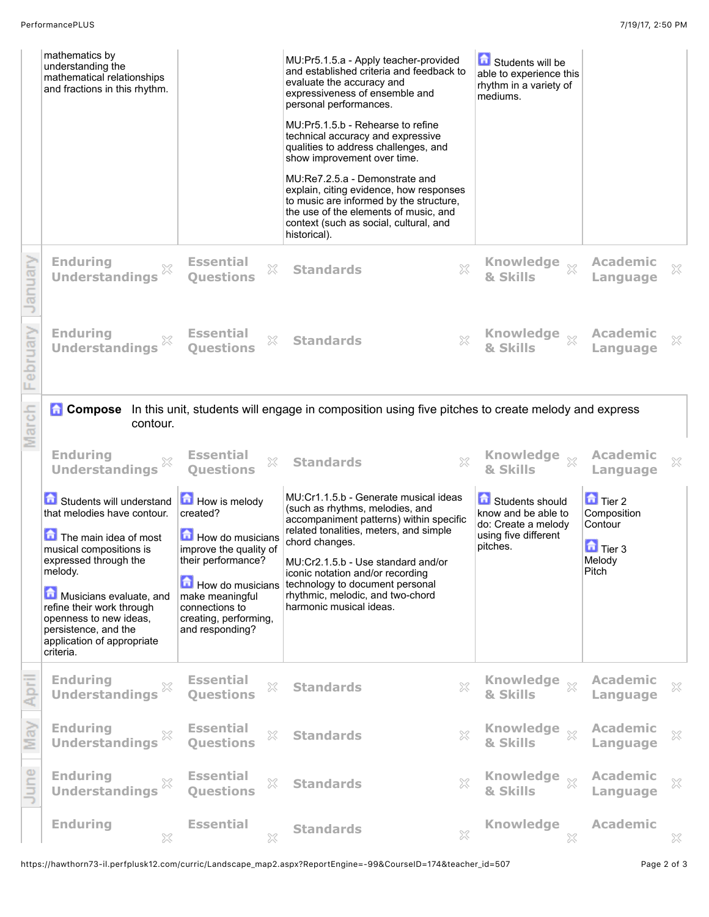|               | mathematics by<br>understanding the<br>mathematical relationships<br>and fractions in this rhythm.                                                                                                                                                                                                   |                                                                                                                                                                                                           | MU:Pr5.1.5.a - Apply teacher-provided<br>and established criteria and feedback to<br>evaluate the accuracy and<br>expressiveness of ensemble and<br>personal performances.<br>MU:Pr5.1.5.b - Rehearse to refine<br>technical accuracy and expressive<br>qualities to address challenges, and<br>show improvement over time.<br>MU:Re7.2.5.a - Demonstrate and<br>explain, citing evidence, how responses<br>to music are informed by the structure,<br>the use of the elements of music, and<br>context (such as social, cultural, and<br>historical). | Students will be<br>able to experience this<br>rhythm in a variety of<br>mediums.                 |                                                                             |   |
|---------------|------------------------------------------------------------------------------------------------------------------------------------------------------------------------------------------------------------------------------------------------------------------------------------------------------|-----------------------------------------------------------------------------------------------------------------------------------------------------------------------------------------------------------|--------------------------------------------------------------------------------------------------------------------------------------------------------------------------------------------------------------------------------------------------------------------------------------------------------------------------------------------------------------------------------------------------------------------------------------------------------------------------------------------------------------------------------------------------------|---------------------------------------------------------------------------------------------------|-----------------------------------------------------------------------------|---|
| anuar         | <b>Enduring</b><br>X<br><b>Understandings</b>                                                                                                                                                                                                                                                        | <b>Essential</b><br>X<br><b>Ouestions</b>                                                                                                                                                                 | X<br><b>Standards</b>                                                                                                                                                                                                                                                                                                                                                                                                                                                                                                                                  | <b>Knowledge</b><br>$\chi$<br>& Skills                                                            | <b>Academic</b><br>Language                                                 | × |
| oruarv        | <b>Enduring</b><br><b>Understandings</b>                                                                                                                                                                                                                                                             | <b>Essential</b><br>X<br><b>Questions</b>                                                                                                                                                                 | $\gtrsim$<br><b>Standards</b>                                                                                                                                                                                                                                                                                                                                                                                                                                                                                                                          | <b>Knowledge</b><br>$\chi$<br>& Skills                                                            | <b>Academic</b><br>Language                                                 | × |
| $\frac{1}{5}$ | <b>Compose</b><br>contour.                                                                                                                                                                                                                                                                           |                                                                                                                                                                                                           | In this unit, students will engage in composition using five pitches to create melody and express                                                                                                                                                                                                                                                                                                                                                                                                                                                      |                                                                                                   |                                                                             |   |
|               |                                                                                                                                                                                                                                                                                                      |                                                                                                                                                                                                           |                                                                                                                                                                                                                                                                                                                                                                                                                                                                                                                                                        |                                                                                                   |                                                                             |   |
|               | <b>Enduring</b><br><b>Understandings</b>                                                                                                                                                                                                                                                             | <b>Essential</b><br>X<br><b>Questions</b>                                                                                                                                                                 | X<br><b>Standards</b>                                                                                                                                                                                                                                                                                                                                                                                                                                                                                                                                  | <b>Knowledge</b><br>$\chi$<br>& Skills                                                            | <b>Academic</b><br>Language                                                 | × |
|               | Students will understand<br>that melodies have contour.<br>The main idea of most<br>musical compositions is<br>expressed through the<br>melody.<br>Musicians evaluate, and<br>refine their work through<br>openness to new ideas,<br>persistence, and the<br>application of appropriate<br>criteria. | <b>How is melody</b><br>created?<br>How do musicians<br>improve the quality of<br>their performance?<br>How do musicians<br>make meaningful<br>connections to<br>creating, performing,<br>and responding? | MU:Cr1.1.5.b - Generate musical ideas<br>(such as rhythms, melodies, and<br>accompaniment patterns) within specific<br>related tonalities, meters, and simple<br>chord changes.<br>MU:Cr2.1.5.b - Use standard and/or<br>iconic notation and/or recording<br>technology to document personal<br>rhythmic, melodic, and two-chord<br>harmonic musical ideas.                                                                                                                                                                                            | Students should<br>know and be able to<br>do: Create a melody<br>using five different<br>pitches. | $\Box$ Tier 2<br>Composition<br>Contour<br>$\Box$ Tier 3<br>Melody<br>Pitch |   |
|               | <b>Enduring</b><br>×<br><b>Understandings</b>                                                                                                                                                                                                                                                        | <b>Essential</b><br>X<br><b>Ouestions</b>                                                                                                                                                                 | $\Im$<br><b>Standards</b>                                                                                                                                                                                                                                                                                                                                                                                                                                                                                                                              | <b>Knowledge</b><br>$\mathbb{X}$<br>& Skills                                                      | <b>Academic</b><br>Language                                                 | × |
| న్            | <b>Enduring</b><br>X<br><b>Understandings</b>                                                                                                                                                                                                                                                        | <b>Essential</b><br>53<br><b>Questions</b>                                                                                                                                                                | 53<br><b>Standards</b>                                                                                                                                                                                                                                                                                                                                                                                                                                                                                                                                 | Knowledge xx<br>& Skills                                                                          | <b>Academic</b><br>Language                                                 | × |
| une           | <b>Enduring</b><br>X<br><b>Understandings</b>                                                                                                                                                                                                                                                        | <b>Essential</b><br>53<br><b>Ouestions</b>                                                                                                                                                                | 53<br><b>Standards</b>                                                                                                                                                                                                                                                                                                                                                                                                                                                                                                                                 | Knowledge xx<br>& Skills                                                                          | <b>Academic</b><br>Language                                                 | × |